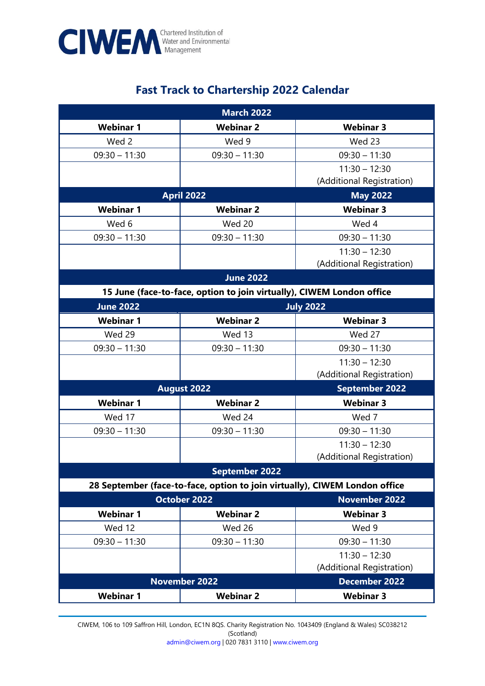

## **Fast Track to Chartership 2022 Calendar**

| <b>March 2022</b>     |                                                                            |                           |  |  |
|-----------------------|----------------------------------------------------------------------------|---------------------------|--|--|
| <b>Webinar 1</b>      | <b>Webinar 2</b>                                                           | <b>Webinar 3</b>          |  |  |
| Wed 2                 | Wed 9                                                                      | Wed 23                    |  |  |
| $09:30 - 11:30$       | $09:30 - 11:30$                                                            | $09:30 - 11:30$           |  |  |
|                       |                                                                            | $11:30 - 12:30$           |  |  |
|                       |                                                                            | (Additional Registration) |  |  |
| <b>April 2022</b>     |                                                                            | <b>May 2022</b>           |  |  |
| <b>Webinar 1</b>      | <b>Webinar 2</b>                                                           | <b>Webinar 3</b>          |  |  |
| Wed 6                 | Wed 20                                                                     | Wed 4                     |  |  |
| $09:30 - 11:30$       | $09:30 - 11:30$                                                            | $09:30 - 11:30$           |  |  |
|                       |                                                                            | $11:30 - 12:30$           |  |  |
|                       |                                                                            | (Additional Registration) |  |  |
| <b>June 2022</b>      |                                                                            |                           |  |  |
|                       | 15 June (face-to-face, option to join virtually), CIWEM London office      |                           |  |  |
| <b>June 2022</b>      |                                                                            | <b>July 2022</b>          |  |  |
| <b>Webinar 1</b>      | <b>Webinar 2</b>                                                           | <b>Webinar 3</b>          |  |  |
| Wed 29                | Wed 13                                                                     | Wed 27                    |  |  |
| $09:30 - 11:30$       | $09:30 - 11:30$                                                            | $09:30 - 11:30$           |  |  |
|                       |                                                                            | $11:30 - 12:30$           |  |  |
|                       |                                                                            | (Additional Registration) |  |  |
| <b>August 2022</b>    |                                                                            | <b>September 2022</b>     |  |  |
| <b>Webinar 1</b>      | <b>Webinar 2</b>                                                           | <b>Webinar 3</b>          |  |  |
| Wed 17                | Wed 24                                                                     | Wed 7                     |  |  |
| $09:30 - 11:30$       | $09:30 - 11:30$                                                            | $09:30 - 11:30$           |  |  |
|                       |                                                                            | $11:30 - 12:30$           |  |  |
|                       |                                                                            | (Additional Registration) |  |  |
| <b>September 2022</b> |                                                                            |                           |  |  |
|                       | 28 September (face-to-face, option to join virtually), CIWEM London office |                           |  |  |
| <b>October 2022</b>   |                                                                            | <b>November 2022</b>      |  |  |
| <b>Webinar 1</b>      | <b>Webinar 2</b>                                                           | <b>Webinar 3</b>          |  |  |
| Wed 12                | Wed 26                                                                     | Wed 9                     |  |  |
| $09:30 - 11:30$       | $09:30 - 11:30$                                                            | $09:30 - 11:30$           |  |  |
|                       |                                                                            | $11:30 - 12:30$           |  |  |
|                       |                                                                            | (Additional Registration) |  |  |
| <b>November 2022</b>  |                                                                            | <b>December 2022</b>      |  |  |
| <b>Webinar 1</b>      | <b>Webinar 2</b>                                                           | <b>Webinar 3</b>          |  |  |

CIWEM, 106 to 109 Saffron Hill, London, EC1N 8QS. Charity Registration No. 1043409 (England & Wales) SC038212 (Scotland) [admin@ciwem.org](mailto:admin@ciwem.org) | 020 7831 3110 [| www.ciwem.org](http://www.ciwem.org/)